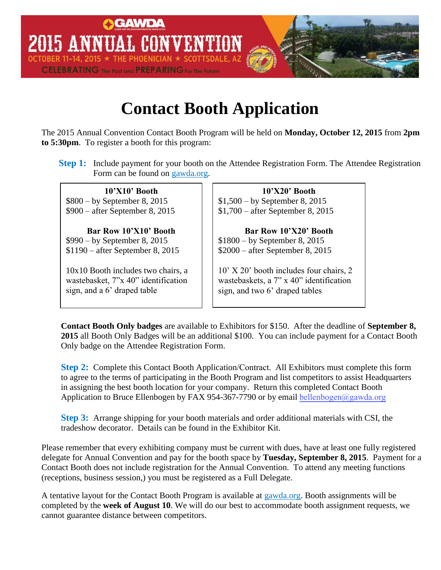

## **Contact Booth Application**

The 2015 Annual Convention Contact Booth Program will be held on **Monday, October 12, 2015** from **2pm to 5:30pm**. To register a booth for this program:

**Step 1:** Include payment for your booth on the Attendee Registration Form. The Attendee Registration Form can be found on gawda.org.

**10'X10' Booth** \$800 – by September 8, 2015 \$900 – after September 8, 2015

**Bar Row 10'X10' Booth** \$990 – by September 8, 2015 \$1190 – after September 8, 2015

10x10 Booth includes two chairs, a wastebasket, 7"x 40" identification sign, and a 6' draped table

**10'X20' Booth** \$1,500 – by September 8, 2015 \$1,700 – after September 8, 2015

**Bar Row 10'X20' Booth** \$1800 – by September 8, 2015 \$2000 – after September 8, 2015

10' X 20' booth includes four chairs, 2 wastebaskets, a 7" x 40" identification sign, and two 6' draped tables

**Contact Booth Only badges** are available to Exhibitors for \$150. After the deadline of **September 8, 2015** all Booth Only Badges will be an additional \$100. You can include payment for a Contact Booth Only badge on the Attendee Registration Form.

**Step 2:** Complete this Contact Booth Application/Contract. All Exhibitors must complete this form to agree to the terms of participating in the Booth Program and list competitors to assist Headquarters in assigning the best booth location for your company. Return this completed Contact Booth Application to Bruce Ellenbogen by FAX 954-367-7790 or by email bellenbogen@gawda.org

**Step 3:** Arrange shipping for your booth materials and order additional materials with CSI, the tradeshow decorator. Details can be found in the Exhibitor Kit.

Please remember that every exhibiting company must be current with dues, have at least one fully registered delegate for Annual Convention and pay for the booth space by **Tuesday, September 8, 2015**. Payment for a Contact Booth does not include registration for the Annual Convention. To attend any meeting functions (receptions, business session,) you must be registered as a Full Delegate.

A tentative layout for the Contact Booth Program is available at gawda.org. Booth assignments will be completed by the **week of August 10**. We will do our best to accommodate booth assignment requests, we cannot guarantee distance between competitors.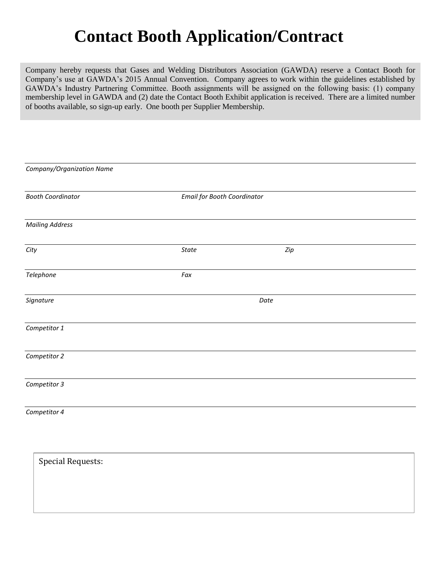# **Contact Booth Application/Contract**

Company hereby requests that Gases and Welding Distributors Association (GAWDA) reserve a Contact Booth for Company's use at GAWDA's 2015 Annual Convention. Company agrees to work within the guidelines established by GAWDA's Industry Partnering Committee. Booth assignments will be assigned on the following basis: (1) company membership level in GAWDA and (2) date the Contact Booth Exhibit application is received. There are a limited number of booths available, so sign-up early. One booth per Supplier Membership.

| Company/Organization Name |       |                                    |  |
|---------------------------|-------|------------------------------------|--|
| <b>Booth Coordinator</b>  |       | <b>Email for Booth Coordinator</b> |  |
| <b>Mailing Address</b>    |       |                                    |  |
| City                      | State | Zip                                |  |
| Telephone                 | Fax   |                                    |  |
| Signature                 |       | Date                               |  |
| Competitor 1              |       |                                    |  |
| Competitor 2              |       |                                    |  |
| Competitor 3              |       |                                    |  |
| Competitor 4              |       |                                    |  |
| <b>Special Requests:</b>  |       |                                    |  |